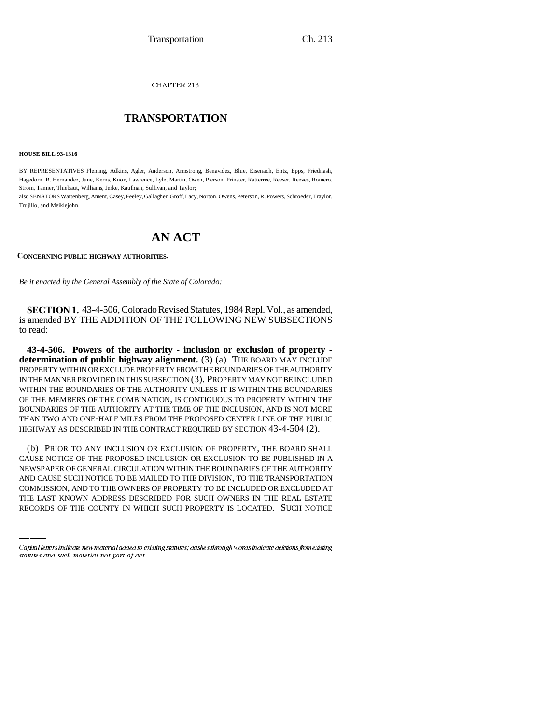CHAPTER 213

## \_\_\_\_\_\_\_\_\_\_\_\_\_\_\_ **TRANSPORTATION** \_\_\_\_\_\_\_\_\_\_\_\_\_\_\_

**HOUSE BILL 93-1316**

BY REPRESENTATIVES Fleming, Adkins, Agler, Anderson, Armstrong, Benavidez, Blue, Eisenach, Entz, Epps, Friednash, Hagedorn, R. Hernandez, June, Kerns, Knox, Lawrence, Lyle, Martin, Owen, Pierson, Prinster, Ratterree, Reeser, Reeves, Romero, Strom, Tanner, Thiebaut, Williams, Jerke, Kaufman, Sullivan, and Taylor;

also SENATORS Wattenberg, Ament, Casey, Feeley, Gallagher, Groff, Lacy, Norton, Owens, Peterson, R. Powers, Schroeder, Traylor, Trujillo, and Meiklejohn.

## **AN ACT**

**CONCERNING PUBLIC HIGHWAY AUTHORITIES.**

*Be it enacted by the General Assembly of the State of Colorado:*

**SECTION 1.** 43-4-506, Colorado Revised Statutes, 1984 Repl. Vol., as amended, is amended BY THE ADDITION OF THE FOLLOWING NEW SUBSECTIONS to read:

**43-4-506. Powers of the authority - inclusion or exclusion of property determination of public highway alignment.** (3) (a) THE BOARD MAY INCLUDE PROPERTY WITHIN OR EXCLUDE PROPERTY FROM THE BOUNDARIES OF THE AUTHORITY IN THE MANNER PROVIDED IN THIS SUBSECTION (3). PROPERTY MAY NOT BE INCLUDED WITHIN THE BOUNDARIES OF THE AUTHORITY UNLESS IT IS WITHIN THE BOUNDARIES OF THE MEMBERS OF THE COMBINATION, IS CONTIGUOUS TO PROPERTY WITHIN THE BOUNDARIES OF THE AUTHORITY AT THE TIME OF THE INCLUSION, AND IS NOT MORE THAN TWO AND ONE-HALF MILES FROM THE PROPOSED CENTER LINE OF THE PUBLIC HIGHWAY AS DESCRIBED IN THE CONTRACT REQUIRED BY SECTION 43-4-504 (2).

NEWSPAPER OF GENERAL CIRCULATION WITHIN THE BOUNDARIES OF THE AUTHORITY (b) PRIOR TO ANY INCLUSION OR EXCLUSION OF PROPERTY, THE BOARD SHALL CAUSE NOTICE OF THE PROPOSED INCLUSION OR EXCLUSION TO BE PUBLISHED IN A AND CAUSE SUCH NOTICE TO BE MAILED TO THE DIVISION, TO THE TRANSPORTATION COMMISSION, AND TO THE OWNERS OF PROPERTY TO BE INCLUDED OR EXCLUDED AT THE LAST KNOWN ADDRESS DESCRIBED FOR SUCH OWNERS IN THE REAL ESTATE RECORDS OF THE COUNTY IN WHICH SUCH PROPERTY IS LOCATED. SUCH NOTICE

Capital letters indicate new material added to existing statutes; dashes through words indicate deletions from existing statutes and such material not part of act.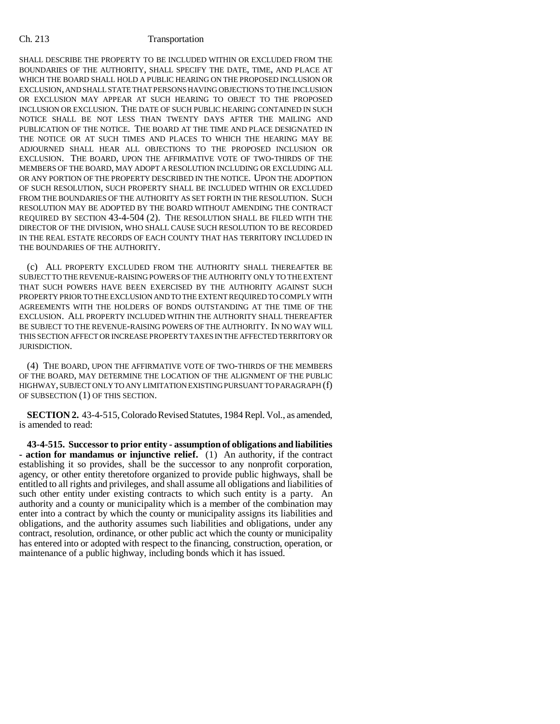## Ch. 213 Transportation

SHALL DESCRIBE THE PROPERTY TO BE INCLUDED WITHIN OR EXCLUDED FROM THE BOUNDARIES OF THE AUTHORITY, SHALL SPECIFY THE DATE, TIME, AND PLACE AT WHICH THE BOARD SHALL HOLD A PUBLIC HEARING ON THE PROPOSED INCLUSION OR EXCLUSION, AND SHALL STATE THAT PERSONS HAVING OBJECTIONS TO THE INCLUSION OR EXCLUSION MAY APPEAR AT SUCH HEARING TO OBJECT TO THE PROPOSED INCLUSION OR EXCLUSION. THE DATE OF SUCH PUBLIC HEARING CONTAINED IN SUCH NOTICE SHALL BE NOT LESS THAN TWENTY DAYS AFTER THE MAILING AND PUBLICATION OF THE NOTICE. THE BOARD AT THE TIME AND PLACE DESIGNATED IN THE NOTICE OR AT SUCH TIMES AND PLACES TO WHICH THE HEARING MAY BE ADJOURNED SHALL HEAR ALL OBJECTIONS TO THE PROPOSED INCLUSION OR EXCLUSION. THE BOARD, UPON THE AFFIRMATIVE VOTE OF TWO-THIRDS OF THE MEMBERS OF THE BOARD, MAY ADOPT A RESOLUTION INCLUDING OR EXCLUDING ALL OR ANY PORTION OF THE PROPERTY DESCRIBED IN THE NOTICE. UPON THE ADOPTION OF SUCH RESOLUTION, SUCH PROPERTY SHALL BE INCLUDED WITHIN OR EXCLUDED FROM THE BOUNDARIES OF THE AUTHORITY AS SET FORTH IN THE RESOLUTION. SUCH RESOLUTION MAY BE ADOPTED BY THE BOARD WITHOUT AMENDING THE CONTRACT REQUIRED BY SECTION 43-4-504 (2). THE RESOLUTION SHALL BE FILED WITH THE DIRECTOR OF THE DIVISION, WHO SHALL CAUSE SUCH RESOLUTION TO BE RECORDED IN THE REAL ESTATE RECORDS OF EACH COUNTY THAT HAS TERRITORY INCLUDED IN THE BOUNDARIES OF THE AUTHORITY.

(c) ALL PROPERTY EXCLUDED FROM THE AUTHORITY SHALL THEREAFTER BE SUBJECT TO THE REVENUE-RAISING POWERS OF THE AUTHORITY ONLY TO THE EXTENT THAT SUCH POWERS HAVE BEEN EXERCISED BY THE AUTHORITY AGAINST SUCH PROPERTY PRIOR TO THE EXCLUSION AND TO THE EXTENT REQUIRED TO COMPLY WITH AGREEMENTS WITH THE HOLDERS OF BONDS OUTSTANDING AT THE TIME OF THE EXCLUSION. ALL PROPERTY INCLUDED WITHIN THE AUTHORITY SHALL THEREAFTER BE SUBJECT TO THE REVENUE-RAISING POWERS OF THE AUTHORITY. IN NO WAY WILL THIS SECTION AFFECT OR INCREASE PROPERTY TAXES IN THE AFFECTED TERRITORY OR JURISDICTION.

(4) THE BOARD, UPON THE AFFIRMATIVE VOTE OF TWO-THIRDS OF THE MEMBERS OF THE BOARD, MAY DETERMINE THE LOCATION OF THE ALIGNMENT OF THE PUBLIC HIGHWAY, SUBJECT ONLY TO ANY LIMITATION EXISTING PURSUANT TO PARAGRAPH (f) OF SUBSECTION (1) OF THIS SECTION.

**SECTION 2.** 43-4-515, Colorado Revised Statutes, 1984 Repl. Vol., as amended, is amended to read:

**43-4-515. Successor to prior entity - assumption of obligations and liabilities - action for mandamus or injunctive relief.** (1) An authority, if the contract establishing it so provides, shall be the successor to any nonprofit corporation, agency, or other entity theretofore organized to provide public highways, shall be entitled to all rights and privileges, and shall assume all obligations and liabilities of such other entity under existing contracts to which such entity is a party. An authority and a county or municipality which is a member of the combination may enter into a contract by which the county or municipality assigns its liabilities and obligations, and the authority assumes such liabilities and obligations, under any contract, resolution, ordinance, or other public act which the county or municipality has entered into or adopted with respect to the financing, construction, operation, or maintenance of a public highway, including bonds which it has issued.